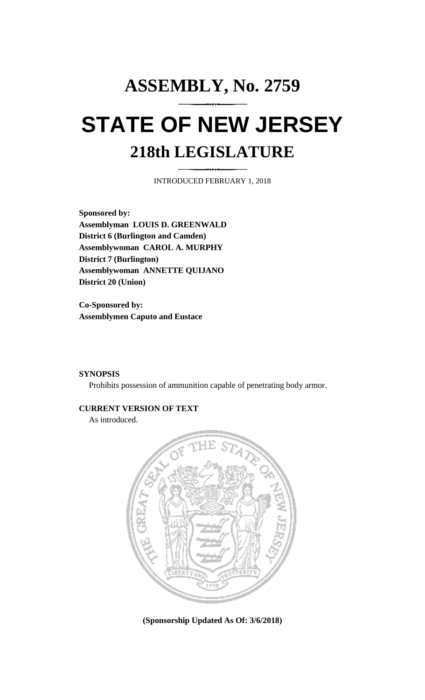## **ASSEMBLY, No. 2759 STATE OF NEW JERSEY 218th LEGISLATURE**

INTRODUCED FEBRUARY 1, 2018

**Sponsored by: Assemblyman LOUIS D. GREENWALD District 6 (Burlington and Camden) Assemblywoman CAROL A. MURPHY District 7 (Burlington) Assemblywoman ANNETTE QUIJANO District 20 (Union)**

**Co-Sponsored by: Assemblymen Caputo and Eustace**

## **SYNOPSIS**

Prohibits possession of ammunition capable of penetrating body armor.

## **CURRENT VERSION OF TEXT**

As introduced.



**(Sponsorship Updated As Of: 3/6/2018)**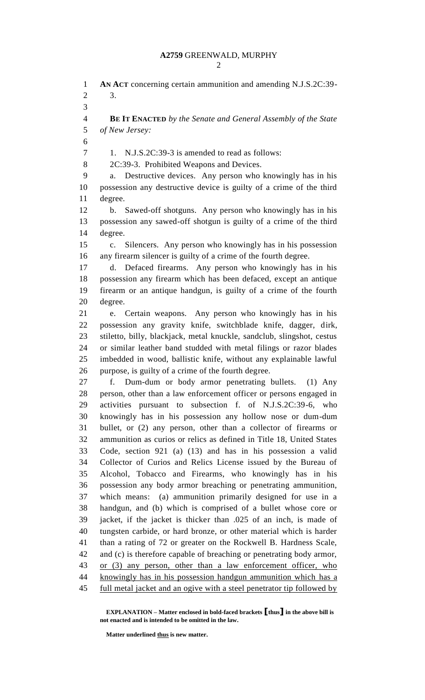**AN ACT** concerning certain ammunition and amending N.J.S.2C:39- 3. **BE IT ENACTED** *by the Senate and General Assembly of the State of New Jersey:* 7 1. N.J.S.2C:39-3 is amended to read as follows: 8 2C:39-3. Prohibited Weapons and Devices. a. Destructive devices. Any person who knowingly has in his possession any destructive device is guilty of a crime of the third degree. b. Sawed-off shotguns. Any person who knowingly has in his possession any sawed-off shotgun is guilty of a crime of the third degree. c. Silencers. Any person who knowingly has in his possession any firearm silencer is guilty of a crime of the fourth degree. d. Defaced firearms. Any person who knowingly has in his possession any firearm which has been defaced, except an antique firearm or an antique handgun, is guilty of a crime of the fourth degree. e. Certain weapons. Any person who knowingly has in his possession any gravity knife, switchblade knife, dagger, dirk, stiletto, billy, blackjack, metal knuckle, sandclub, slingshot, cestus or similar leather band studded with metal filings or razor blades imbedded in wood, ballistic knife, without any explainable lawful purpose, is guilty of a crime of the fourth degree. f. Dum-dum or body armor penetrating bullets. (1) Any person, other than a law enforcement officer or persons engaged in activities pursuant to subsection f. of N.J.S.2C:39-6, who knowingly has in his possession any hollow nose or dum-dum bullet, or (2) any person, other than a collector of firearms or ammunition as curios or relics as defined in Title 18, United States Code, section 921 (a) (13) and has in his possession a valid Collector of Curios and Relics License issued by the Bureau of Alcohol, Tobacco and Firearms, who knowingly has in his possession any body armor breaching or penetrating ammunition, which means: (a) ammunition primarily designed for use in a handgun, and (b) which is comprised of a bullet whose core or jacket, if the jacket is thicker than .025 of an inch, is made of tungsten carbide, or hard bronze, or other material which is harder than a rating of 72 or greater on the Rockwell B. Hardness Scale, and (c) is therefore capable of breaching or penetrating body armor, 43 or (3) any person, other than a law enforcement officer, who knowingly has in his possession handgun ammunition which has a 45 full metal jacket and an ogive with a steel penetrator tip followed by

**EXPLANATION – Matter enclosed in bold-faced brackets [thus] in the above bill is not enacted and is intended to be omitted in the law.**

**Matter underlined thus is new matter.**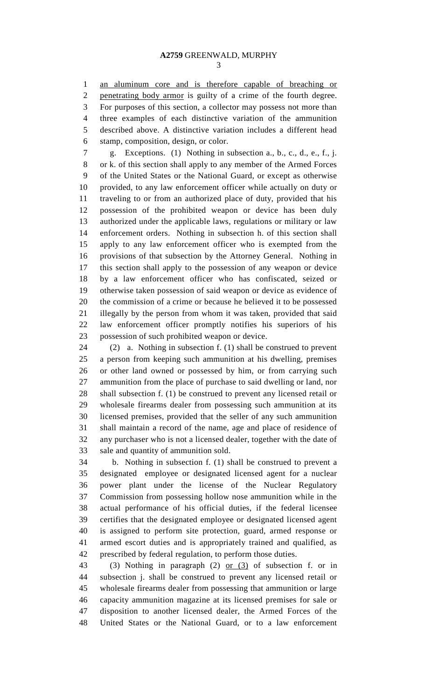an aluminum core and is therefore capable of breaching or penetrating body armor is guilty of a crime of the fourth degree. For purposes of this section, a collector may possess not more than three examples of each distinctive variation of the ammunition described above. A distinctive variation includes a different head stamp, composition, design, or color.

 g. Exceptions. (1) Nothing in subsection a., b., c., d., e., f., j. or k. of this section shall apply to any member of the Armed Forces of the United States or the National Guard, or except as otherwise provided, to any law enforcement officer while actually on duty or traveling to or from an authorized place of duty, provided that his possession of the prohibited weapon or device has been duly authorized under the applicable laws, regulations or military or law enforcement orders. Nothing in subsection h. of this section shall apply to any law enforcement officer who is exempted from the provisions of that subsection by the Attorney General. Nothing in this section shall apply to the possession of any weapon or device by a law enforcement officer who has confiscated, seized or otherwise taken possession of said weapon or device as evidence of the commission of a crime or because he believed it to be possessed illegally by the person from whom it was taken, provided that said law enforcement officer promptly notifies his superiors of his possession of such prohibited weapon or device.

 (2) a. Nothing in subsection f. (1) shall be construed to prevent a person from keeping such ammunition at his dwelling, premises or other land owned or possessed by him, or from carrying such ammunition from the place of purchase to said dwelling or land, nor shall subsection f. (1) be construed to prevent any licensed retail or wholesale firearms dealer from possessing such ammunition at its licensed premises, provided that the seller of any such ammunition shall maintain a record of the name, age and place of residence of any purchaser who is not a licensed dealer, together with the date of sale and quantity of ammunition sold.

 b. Nothing in subsection f. (1) shall be construed to prevent a designated employee or designated licensed agent for a nuclear power plant under the license of the Nuclear Regulatory Commission from possessing hollow nose ammunition while in the actual performance of his official duties, if the federal licensee certifies that the designated employee or designated licensed agent is assigned to perform site protection, guard, armed response or armed escort duties and is appropriately trained and qualified, as prescribed by federal regulation, to perform those duties.

 (3) Nothing in paragraph (2) or (3) of subsection f. or in subsection j. shall be construed to prevent any licensed retail or wholesale firearms dealer from possessing that ammunition or large capacity ammunition magazine at its licensed premises for sale or disposition to another licensed dealer, the Armed Forces of the United States or the National Guard, or to a law enforcement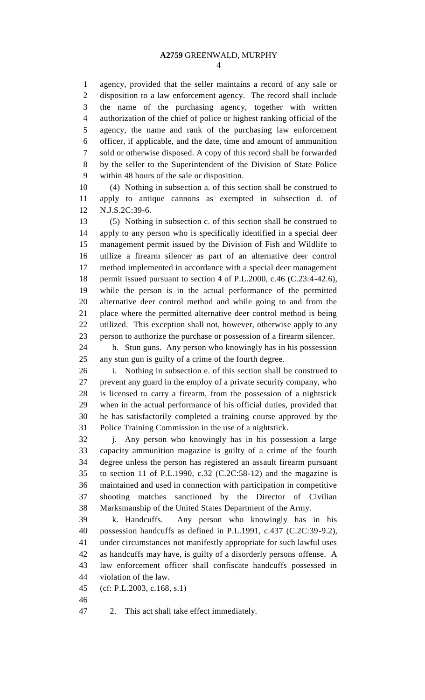agency, provided that the seller maintains a record of any sale or disposition to a law enforcement agency. The record shall include the name of the purchasing agency, together with written authorization of the chief of police or highest ranking official of the agency, the name and rank of the purchasing law enforcement officer, if applicable, and the date, time and amount of ammunition sold or otherwise disposed. A copy of this record shall be forwarded by the seller to the Superintendent of the Division of State Police within 48 hours of the sale or disposition.

 (4) Nothing in subsection a. of this section shall be construed to apply to antique cannons as exempted in subsection d. of N.J.S.2C:39-6.

 (5) Nothing in subsection c. of this section shall be construed to apply to any person who is specifically identified in a special deer management permit issued by the Division of Fish and Wildlife to utilize a firearm silencer as part of an alternative deer control method implemented in accordance with a special deer management permit issued pursuant to section 4 of P.L.2000, c.46 (C.23:4-42.6), while the person is in the actual performance of the permitted alternative deer control method and while going to and from the place where the permitted alternative deer control method is being utilized. This exception shall not, however, otherwise apply to any person to authorize the purchase or possession of a firearm silencer.

 h. Stun guns. Any person who knowingly has in his possession any stun gun is guilty of a crime of the fourth degree.

 i. Nothing in subsection e. of this section shall be construed to prevent any guard in the employ of a private security company, who is licensed to carry a firearm, from the possession of a nightstick when in the actual performance of his official duties, provided that he has satisfactorily completed a training course approved by the Police Training Commission in the use of a nightstick.

 j. Any person who knowingly has in his possession a large capacity ammunition magazine is guilty of a crime of the fourth degree unless the person has registered an assault firearm pursuant to section 11 of P.L.1990, c.32 (C.2C:58-12) and the magazine is maintained and used in connection with participation in competitive shooting matches sanctioned by the Director of Civilian Marksmanship of the United States Department of the Army.

 k. Handcuffs. Any person who knowingly has in his possession handcuffs as defined in P.L.1991, c.437 (C.2C:39-9.2), under circumstances not manifestly appropriate for such lawful uses as handcuffs may have, is guilty of a disorderly persons offense. A law enforcement officer shall confiscate handcuffs possessed in violation of the law.

(cf: P.L.2003, c.168, s.1)

2. This act shall take effect immediately.